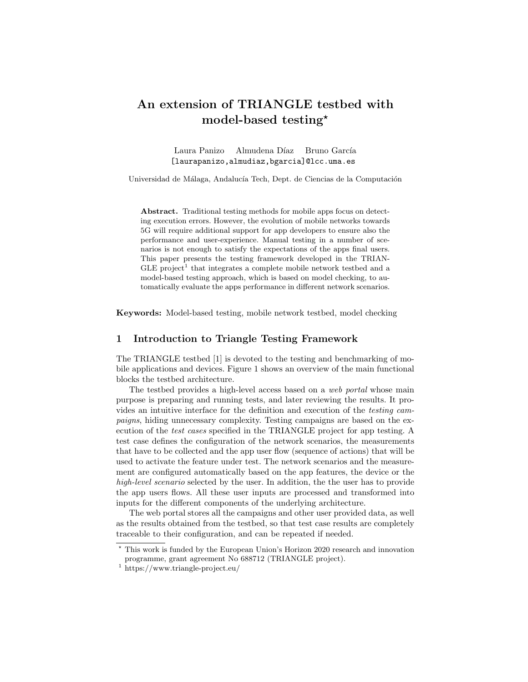# An extension of TRIANGLE testbed with model-based testing?

Laura Panizo Almudena Díaz Bruno García [laurapanizo,almudiaz,bgarcia]@lcc.uma.es

Universidad de Málaga, Andalucía Tech, Dept. de Ciencias de la Computación

Abstract. Traditional testing methods for mobile apps focus on detecting execution errors. However, the evolution of mobile networks towards 5G will require additional support for app developers to ensure also the performance and user-experience. Manual testing in a number of scenarios is not enough to satisfy the expectations of the apps final users. This paper presents the testing framework developed in the TRIAN- $GLE project<sup>1</sup>$  that integrates a complete mobile network testbed and a model-based testing approach, which is based on model checking, to automatically evaluate the apps performance in different network scenarios.

Keywords: Model-based testing, mobile network testbed, model checking

#### 1 Introduction to Triangle Testing Framework

The TRIANGLE testbed [1] is devoted to the testing and benchmarking of mobile applications and devices. Figure 1 shows an overview of the main functional blocks the testbed architecture.

The testbed provides a high-level access based on a web portal whose main purpose is preparing and running tests, and later reviewing the results. It provides an intuitive interface for the definition and execution of the testing campaigns, hiding unnecessary complexity. Testing campaigns are based on the execution of the test cases specified in the TRIANGLE project for app testing. A test case defines the configuration of the network scenarios, the measurements that have to be collected and the app user flow (sequence of actions) that will be used to activate the feature under test. The network scenarios and the measurement are configured automatically based on the app features, the device or the high-level scenario selected by the user. In addition, the the user has to provide the app users flows. All these user inputs are processed and transformed into inputs for the different components of the underlying architecture.

The web portal stores all the campaigns and other user provided data, as well as the results obtained from the testbed, so that test case results are completely traceable to their configuration, and can be repeated if needed.

<sup>?</sup> This work is funded by the European Union's Horizon 2020 research and innovation programme, grant agreement No 688712 (TRIANGLE project).

<sup>1</sup> https://www.triangle-project.eu/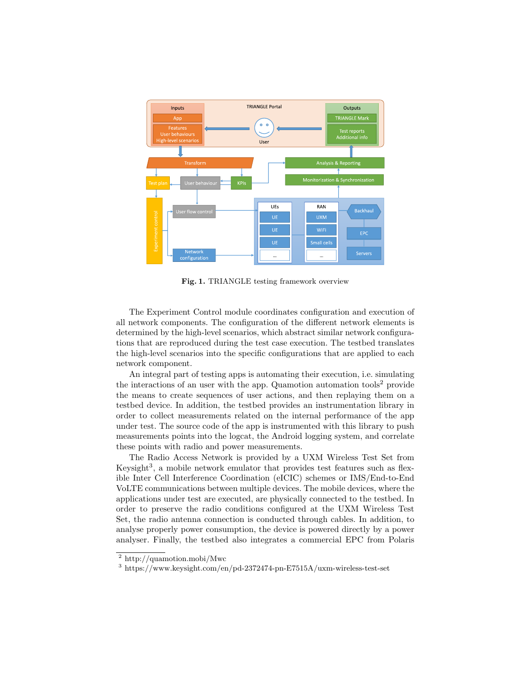

Fig. 1. TRIANGLE testing framework overview

The Experiment Control module coordinates configuration and execution of all network components. The configuration of the different network elements is determined by the high-level scenarios, which abstract similar network configurations that are reproduced during the test case execution. The testbed translates the high-level scenarios into the specific configurations that are applied to each network component.

An integral part of testing apps is automating their execution, i.e. simulating the interactions of an user with the app. Quamotion automation tools<sup>2</sup> provide the means to create sequences of user actions, and then replaying them on a testbed device. In addition, the testbed provides an instrumentation library in order to collect measurements related on the internal performance of the app under test. The source code of the app is instrumented with this library to push measurements points into the logcat, the Android logging system, and correlate these points with radio and power measurements.

The Radio Access Network is provided by a UXM Wireless Test Set from Keysight<sup>3</sup>, a mobile network emulator that provides test features such as flexible Inter Cell Interference Coordination (eICIC) schemes or IMS/End-to-End VoLTE communications between multiple devices. The mobile devices, where the applications under test are executed, are physically connected to the testbed. In order to preserve the radio conditions configured at the UXM Wireless Test Set, the radio antenna connection is conducted through cables. In addition, to analyse properly power consumption, the device is powered directly by a power analyser. Finally, the testbed also integrates a commercial EPC from Polaris

<sup>2</sup> http://quamotion.mobi/Mwc

<sup>3</sup> https://www.keysight.com/en/pd-2372474-pn-E7515A/uxm-wireless-test-set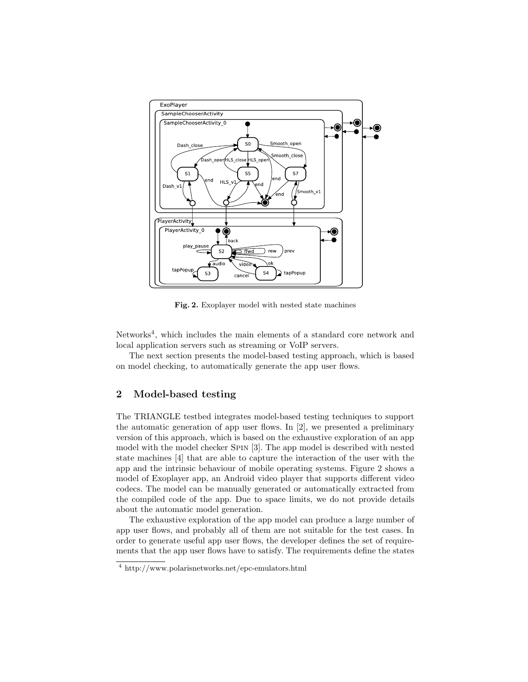

Fig. 2. Exoplayer model with nested state machines

Networks<sup>4</sup>, which includes the main elements of a standard core network and local application servers such as streaming or VoIP servers.

The next section presents the model-based testing approach, which is based on model checking, to automatically generate the app user flows.

#### 2 Model-based testing

The TRIANGLE testbed integrates model-based testing techniques to support the automatic generation of app user flows. In [2], we presented a preliminary version of this approach, which is based on the exhaustive exploration of an app model with the model checker Spin [3]. The app model is described with nested state machines [4] that are able to capture the interaction of the user with the app and the intrinsic behaviour of mobile operating systems. Figure 2 shows a model of Exoplayer app, an Android video player that supports different video codecs. The model can be manually generated or automatically extracted from the compiled code of the app. Due to space limits, we do not provide details about the automatic model generation.

The exhaustive exploration of the app model can produce a large number of app user flows, and probably all of them are not suitable for the test cases. In order to generate useful app user flows, the developer defines the set of requirements that the app user flows have to satisfy. The requirements define the states

<sup>4</sup> http://www.polarisnetworks.net/epc-emulators.html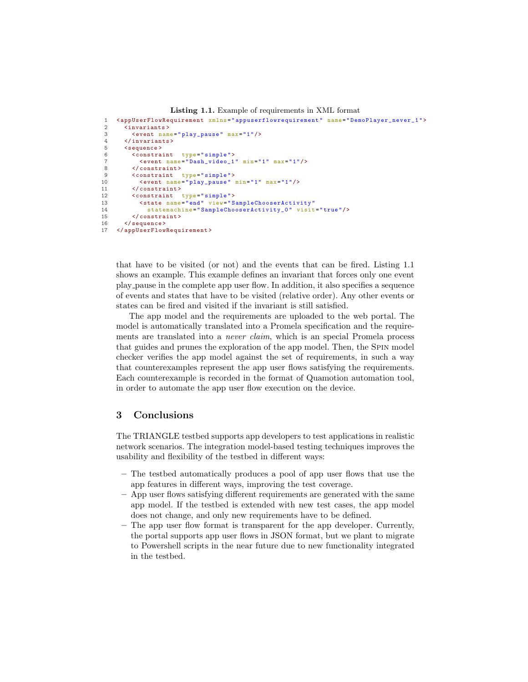```
Listing 1.1. Example of requirements in XML format
 1 <appUserFlowRequirement xmlns="appuserflowrequirement" name="DemoPlayer_never_1"><br>2 <invariants>
 2 <invariants><br>3 <event nam
 3 <event name="play_pause" max="1"/><br>4 </invariants>
 4 \langle invariants><br>5 \langle sequence>
 5 < sequence > \frac{5}{6} < constraints
 6 < constraint type="simple"><br>7 < event name="Dash video 1
 7 \leq \leq \leq \leq \leq \frac{1}{2} \leq \frac{1}{2} \leq \leq \leq \leq \leq \leq \leq \leq \leq \leq \leq \leq \leq \leq \leq \leq \leq \leq \leq \leq \leq \leq \leq \leq \leq \leq \leq 8 </constraint><br>9 <constraint
9 < constraint type="simple"><br>10 < event name="play_pause"
                10 <event name =" play_pause " min ="1" max ="1"/ >
11 </constraint><br>12 <constraint t
12 < constraint type="simple"><br>13 < state name="end" view="S
13 < state name="end" view=" SampleChooserActivity"<br>
14 statemachine=" SampleChooserActivity 0" visit
14 statemachine="SampleChooserActivity_0" visit="true"/><br>15 </constraint>
             \langle/ constraint >
16 </sequence><br>17 </appUserFlow
       17 </ appUserFlowRequirement >
```
that have to be visited (or not) and the events that can be fired. Listing 1.1 shows an example. This example defines an invariant that forces only one event play pause in the complete app user flow. In addition, it also specifies a sequence of events and states that have to be visited (relative order). Any other events or states can be fired and visited if the invariant is still satisfied.

The app model and the requirements are uploaded to the web portal. The model is automatically translated into a Promela specification and the requirements are translated into a never claim, which is an special Promela process that guides and prunes the exploration of the app model. Then, the Spin model checker verifies the app model against the set of requirements, in such a way that counterexamples represent the app user flows satisfying the requirements. Each counterexample is recorded in the format of Quamotion automation tool, in order to automate the app user flow execution on the device.

#### 3 Conclusions

The TRIANGLE testbed supports app developers to test applications in realistic network scenarios. The integration model-based testing techniques improves the usability and flexibility of the testbed in different ways:

- The testbed automatically produces a pool of app user flows that use the app features in different ways, improving the test coverage.
- App user flows satisfying different requirements are generated with the same app model. If the testbed is extended with new test cases, the app model does not change, and only new requirements have to be defined.
- The app user flow format is transparent for the app developer. Currently, the portal supports app user flows in JSON format, but we plant to migrate to Powershell scripts in the near future due to new functionality integrated in the testbed.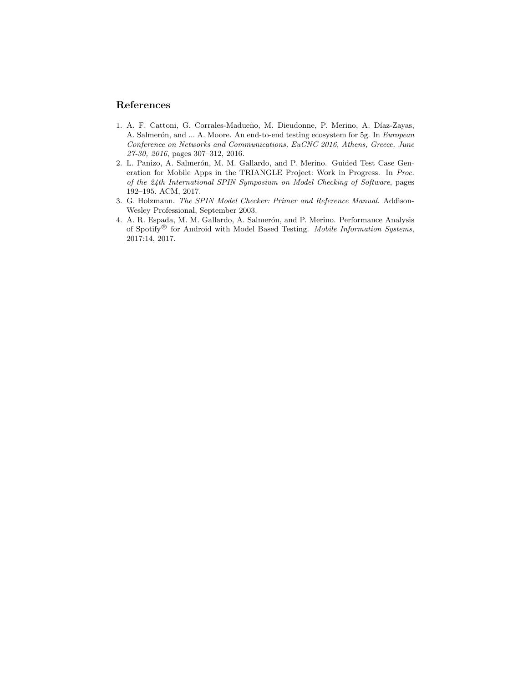### References

- 1. A. F. Cattoni, G. Corrales-Madueño, M. Dieudonne, P. Merino, A. Díaz-Zayas, A. Salmerón, and ... A. Moore. An end-to-end testing ecosystem for 5g. In European Conference on Networks and Communications, EuCNC 2016, Athens, Greece, June 27-30, 2016, pages 307–312, 2016.
- 2. L. Panizo, A. Salmerón, M. M. Gallardo, and P. Merino. Guided Test Case Generation for Mobile Apps in the TRIANGLE Project: Work in Progress. In Proc. of the 24th International SPIN Symposium on Model Checking of Software, pages 192–195. ACM, 2017.
- 3. G. Holzmann. The SPIN Model Checker: Primer and Reference Manual. Addison-Wesley Professional, September 2003.
- 4. A. R. Espada, M. M. Gallardo, A. Salmerón, and P. Merino. Performance Analysis of Spotify<sup>®</sup> for Android with Model Based Testing. Mobile Information Systems, 2017:14, 2017.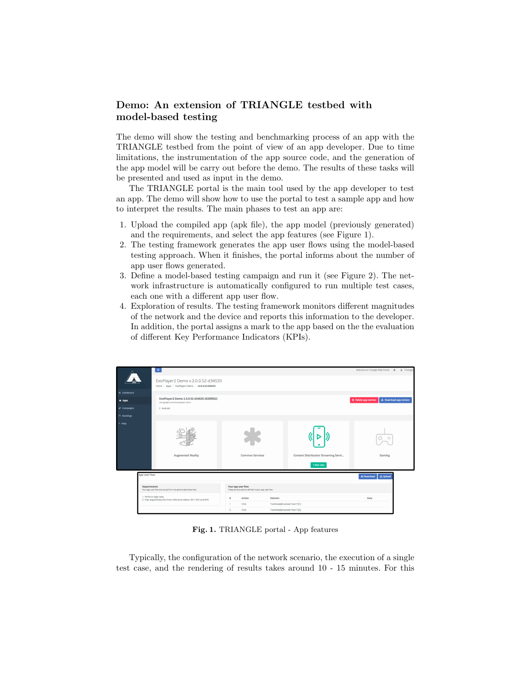## Demo: An extension of TRIANGLE testbed with model-based testing

The demo will show the testing and benchmarking process of an app with the TRIANGLE testbed from the point of view of an app developer. Due to time limitations, the instrumentation of the app source code, and the generation of the app model will be carry out before the demo. The results of these tasks will be presented and used as input in the demo.

The TRIANGLE portal is the main tool used by the app developer to test an app. The demo will show how to use the portal to test a sample app and how to interpret the results. The main phases to test an app are:

- 1. Upload the compiled app (apk file), the app model (previously generated) and the requirements, and select the app features (see Figure 1).
- 2. The testing framework generates the app user flows using the model-based testing approach. When it finishes, the portal informs about the number of app user flows generated.
- 3. Define a model-based testing campaign and run it (see Figure 2). The network infrastructure is automatically configured to run multiple test cases, each one with a different app user flow.
- 4. Exploration of results. The testing framework monitors different magnitudes of the network and the device and reports this information to the developer. In addition, the portal assigns a mark to the app based on the the evaluation of different Key Performance Indicators (KPIs).

|                                                                              | $\equiv$<br>ExoPlayer2 Demo v.2.0.0.52-d34533<br>Home / Apps / ExoPlayer2 Demo / v2.0.0.52-d34533 |                                                                           |                                                     | Welcome to Triangle Web Portal $A$ $\Delta$ Triang    |
|------------------------------------------------------------------------------|---------------------------------------------------------------------------------------------------|---------------------------------------------------------------------------|-----------------------------------------------------|-------------------------------------------------------|
| # Dashboard                                                                  |                                                                                                   |                                                                           |                                                     |                                                       |
| $4$ Apps                                                                     | ExoPlayer2 Demo 2.0.0.52-d34533 (#200052)<br>com.google.android.exoplayer2.demo                   |                                                                           |                                                     | L Download app version<br><b>D</b> Delete app version |
| $4$ Campaigns                                                                | 0 Android                                                                                         |                                                                           |                                                     |                                                       |
| <b>Bookings</b>                                                              |                                                                                                   |                                                                           |                                                     |                                                       |
| ? Help                                                                       | <b>Augmented Reality</b>                                                                          | Common Services                                                           | Content Distribution Streaming Servi<br>1 test case | $-\frac{1}{2}m$<br>Gaming                             |
|                                                                              | App User Flow                                                                                     |                                                                           |                                                     | <b>±</b> Download<br><b>1</b> Upload                  |
| Requirements<br>Your app user flow should perform the actions described here |                                                                                                   | Your app user flow<br>These are the actions defined in your app user flow |                                                     |                                                       |
|                                                                              | 1. Perform login step.<br>2. Play sequentially the three reference videos: RV1, RV2 and RV3       |                                                                           | Element<br>TextView(@marked='text1')[1]             | Data                                                  |
|                                                                              |                                                                                                   | Click<br>$\mathbf{1}$<br>$\overline{2}$<br>Click                          |                                                     |                                                       |
|                                                                              |                                                                                                   |                                                                           | TextView(@marked='text1')[2]                        |                                                       |

Fig. 1. TRIANGLE portal - App features

Typically, the configuration of the network scenario, the execution of a single test case, and the rendering of results takes around 10 - 15 minutes. For this